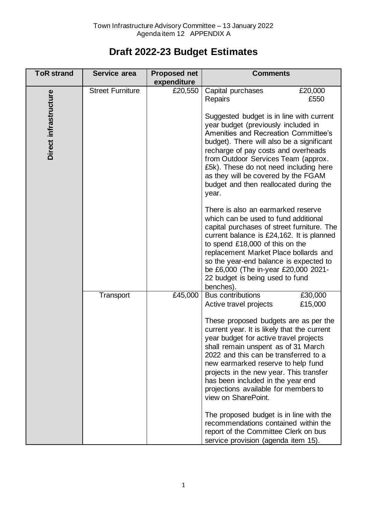## **Draft 2022-23 Budget Estimates**

| <b>ToR strand</b>     | Service area            | <b>Proposed net</b><br>expenditure | <b>Comments</b>                                                                                                                                                                                                                                                                                                                                                                                                                                                                                                                                                                                                                                                                                                                                                                                                                         |
|-----------------------|-------------------------|------------------------------------|-----------------------------------------------------------------------------------------------------------------------------------------------------------------------------------------------------------------------------------------------------------------------------------------------------------------------------------------------------------------------------------------------------------------------------------------------------------------------------------------------------------------------------------------------------------------------------------------------------------------------------------------------------------------------------------------------------------------------------------------------------------------------------------------------------------------------------------------|
| Direct infrastructure | <b>Street Furniture</b> | £20,550                            | Capital purchases<br>£20,000<br>£550<br>Repairs<br>Suggested budget is in line with current<br>year budget (previously included in<br><b>Amenities and Recreation Committee's</b><br>budget). There will also be a significant<br>recharge of pay costs and overheads<br>from Outdoor Services Team (approx.<br>£5k). These do not need including here<br>as they will be covered by the FGAM<br>budget and then reallocated during the<br>year.<br>There is also an earmarked reserve<br>which can be used to fund additional<br>capital purchases of street furniture. The<br>current balance is £24,162. It is planned<br>to spend £18,000 of this on the<br>replacement Market Place bollards and<br>so the year-end balance is expected to<br>be £6,000 (The in-year £20,000 2021-<br>22 budget is being used to fund<br>benches). |
|                       | Transport               | £45,000                            | £30,000<br><b>Bus contributions</b><br>£15,000<br>Active travel projects<br>These proposed budgets are as per the<br>current year. It is likely that the current<br>year budget for active travel projects<br>shall remain unspent as of 31 March<br>2022 and this can be transferred to a<br>new earmarked reserve to help fund<br>projects in the new year. This transfer<br>has been included in the year end<br>projections available for members to<br>view on SharePoint.<br>The proposed budget is in line with the<br>recommendations contained within the<br>report of the Committee Clerk on bus<br>service provision (agenda item 15).                                                                                                                                                                                       |